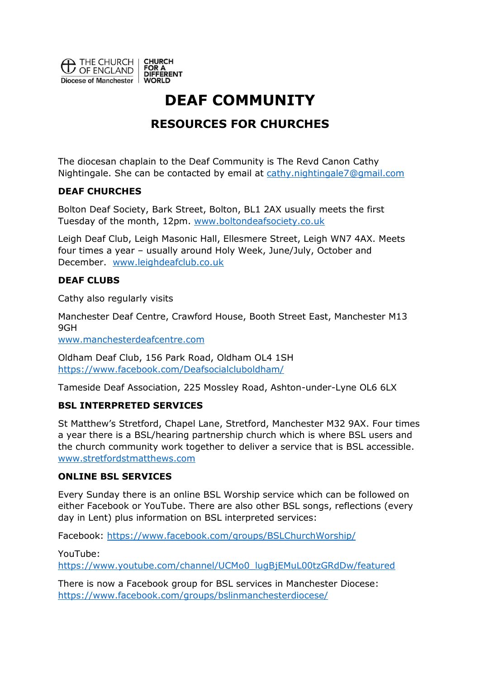

# **DEAF COMMUNITY**

# **RESOURCES FOR CHURCHES**

The diocesan chaplain to the Deaf Community is The Revd Canon Cathy Nightingale. She can be contacted by email at [cathy.nightingale7@gmail.com](mailto:cathy.nightingale7@gmail.com)

# **DEAF CHURCHES**

Bolton Deaf Society, Bark Street, Bolton, BL1 2AX usually meets the first Tuesday of the month, 12pm. [www.boltondeafsociety.co.uk](http://www.boltondeafsociety.co.uk/)

Leigh Deaf Club, Leigh Masonic Hall, Ellesmere Street, Leigh WN7 4AX. Meets four times a year – usually around Holy Week, June/July, October and December. [www.leighdeafclub.co.uk](http://www.leighdeafclub.co.uk/)

# **DEAF CLUBS**

Cathy also regularly visits

Manchester Deaf Centre, Crawford House, Booth Street East, Manchester M13 9GH

[www.manchesterdeafcentre.com](http://www.manchesterdeafcentre.com/)

Oldham Deaf Club, 156 Park Road, Oldham OL4 1SH <https://www.facebook.com/Deafsocialcluboldham/>

Tameside Deaf Association, 225 Mossley Road, Ashton-under-Lyne OL6 6LX

#### **BSL INTERPRETED SERVICES**

St Matthew's Stretford, Chapel Lane, Stretford, Manchester M32 9AX. Four times a year there is a BSL/hearing partnership church which is where BSL users and the church community work together to deliver a service that is BSL accessible. [www.stretfordstmatthews.com](http://www.stretfordstmatthews.com/)

#### **ONLINE BSL SERVICES**

Every Sunday there is an online BSL Worship service which can be followed on either Facebook or YouTube. There are also other BSL songs, reflections (every day in Lent) plus information on BSL interpreted services:

Facebook:<https://www.facebook.com/groups/BSLChurchWorship/>

YouTube: [https://www.youtube.com/channel/UCMo0\\_lugBjEMuL00tzGRdDw/featured](https://www.youtube.com/channel/UCMo0_lugBjEMuL00tzGRdDw/featured)

There is now a Facebook group for BSL services in Manchester Diocese: <https://www.facebook.com/groups/bslinmanchesterdiocese/>